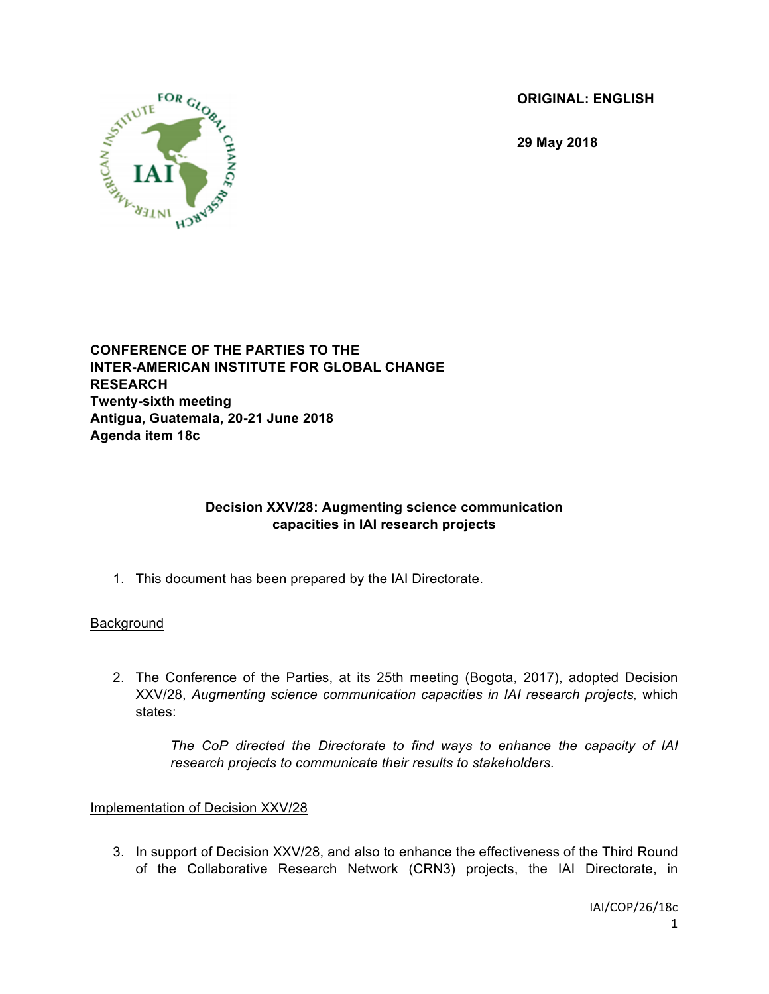**ORIGINAL: ENGLISH**

**29 May 2018**



#### **CONFERENCE OF THE PARTIES TO THE INTER-AMERICAN INSTITUTE FOR GLOBAL CHANGE RESEARCH Twenty-sixth meeting Antigua, Guatemala, 20-21 June 2018 Agenda item 18c**

# **Decision XXV/28: Augmenting science communication capacities in IAI research projects**

1. This document has been prepared by the IAI Directorate.

## **Background**

2. The Conference of the Parties, at its 25th meeting (Bogota, 2017), adopted Decision XXV/28, *Augmenting science communication capacities in IAI research projects,* which states:

*The CoP directed the Directorate to find ways to enhance the capacity of IAI research projects to communicate their results to stakeholders.*

## Implementation of Decision XXV/28

3. In support of Decision XXV/28, and also to enhance the effectiveness of the Third Round of the Collaborative Research Network (CRN3) projects, the IAI Directorate, in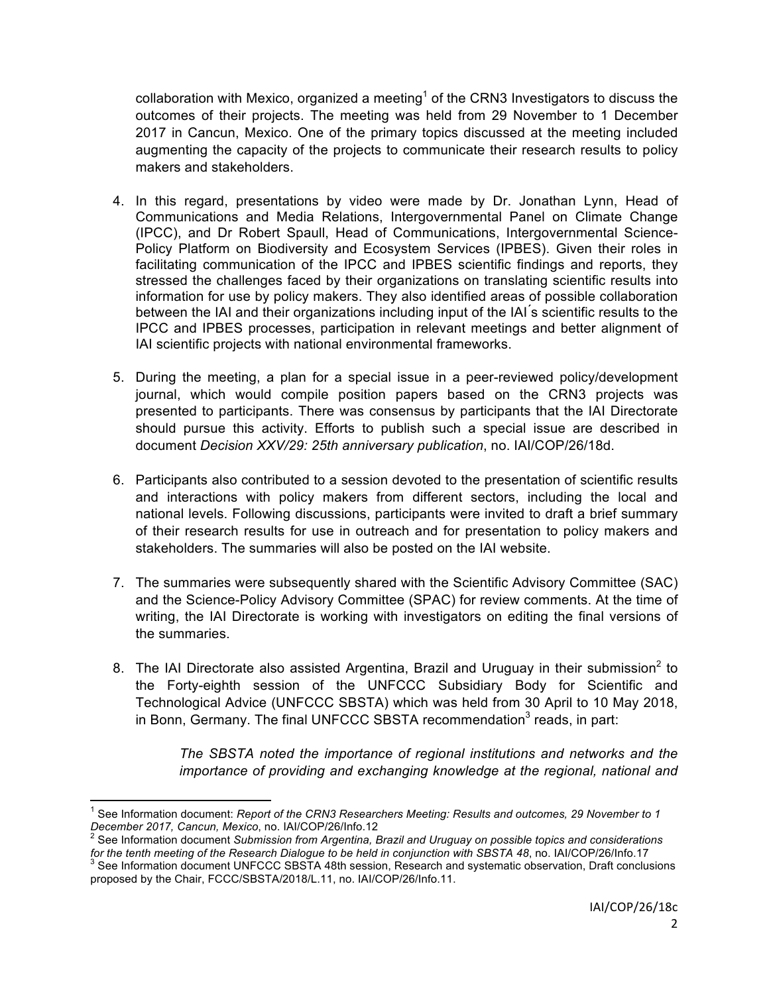collaboration with Mexico, organized a meeting<sup>1</sup> of the CRN3 Investigators to discuss the outcomes of their projects. The meeting was held from 29 November to 1 December 2017 in Cancun, Mexico. One of the primary topics discussed at the meeting included augmenting the capacity of the projects to communicate their research results to policy makers and stakeholders.

- 4. In this regard, presentations by video were made by Dr. Jonathan Lynn, Head of Communications and Media Relations, Intergovernmental Panel on Climate Change (IPCC), and Dr Robert Spaull, Head of Communications, Intergovernmental Science-Policy Platform on Biodiversity and Ecosystem Services (IPBES). Given their roles in facilitating communication of the IPCC and IPBES scientific findings and reports, they stressed the challenges faced by their organizations on translating scientific results into information for use by policy makers. They also identified areas of possible collaboration between the IAI and their organizations including input of the IAI ́s scientific results to the IPCC and IPBES processes, participation in relevant meetings and better alignment of IAI scientific projects with national environmental frameworks.
- 5. During the meeting, a plan for a special issue in a peer-reviewed policy/development journal, which would compile position papers based on the CRN3 projects was presented to participants. There was consensus by participants that the IAI Directorate should pursue this activity. Efforts to publish such a special issue are described in document *Decision XXV/29: 25th anniversary publication*, no. IAI/COP/26/18d.
- 6. Participants also contributed to a session devoted to the presentation of scientific results and interactions with policy makers from different sectors, including the local and national levels. Following discussions, participants were invited to draft a brief summary of their research results for use in outreach and for presentation to policy makers and stakeholders. The summaries will also be posted on the IAI website.
- 7. The summaries were subsequently shared with the Scientific Advisory Committee (SAC) and the Science-Policy Advisory Committee (SPAC) for review comments. At the time of writing, the IAI Directorate is working with investigators on editing the final versions of the summaries.
- 8. The IAI Directorate also assisted Argentina, Brazil and Uruguay in their submission<sup>2</sup> to the Forty-eighth session of the UNFCCC Subsidiary Body for Scientific and Technological Advice (UNFCCC SBSTA) which was held from 30 April to 10 May 2018, in Bonn, Germany. The final UNFCCC SBSTA recommendation<sup>3</sup> reads, in part:

*The SBSTA noted the importance of regional institutions and networks and the importance of providing and exchanging knowledge at the regional, national and* 

 <sup>1</sup> See Information document: *Report of the CRN3 Researchers Meeting: Results and outcomes, 29 November to 1 December 2017, Cancun, Mexico, no. IAI/COP/26/Info.12*<br><sup>2</sup> See Information document *Submission from Argentina, Brazil and Uruguay on possible topics and considerations* 

for the tenth meeting of the Research Dialogue to be held in conjunction with SBSTA 48, no. IAI/COP/26/Info.17<br><sup>3</sup> See Information document UNFCCC SBSTA 48th session, Research and systematic observation, Draft conclusions

proposed by the Chair, FCCC/SBSTA/2018/L.11, no. IAI/COP/26/Info.11.